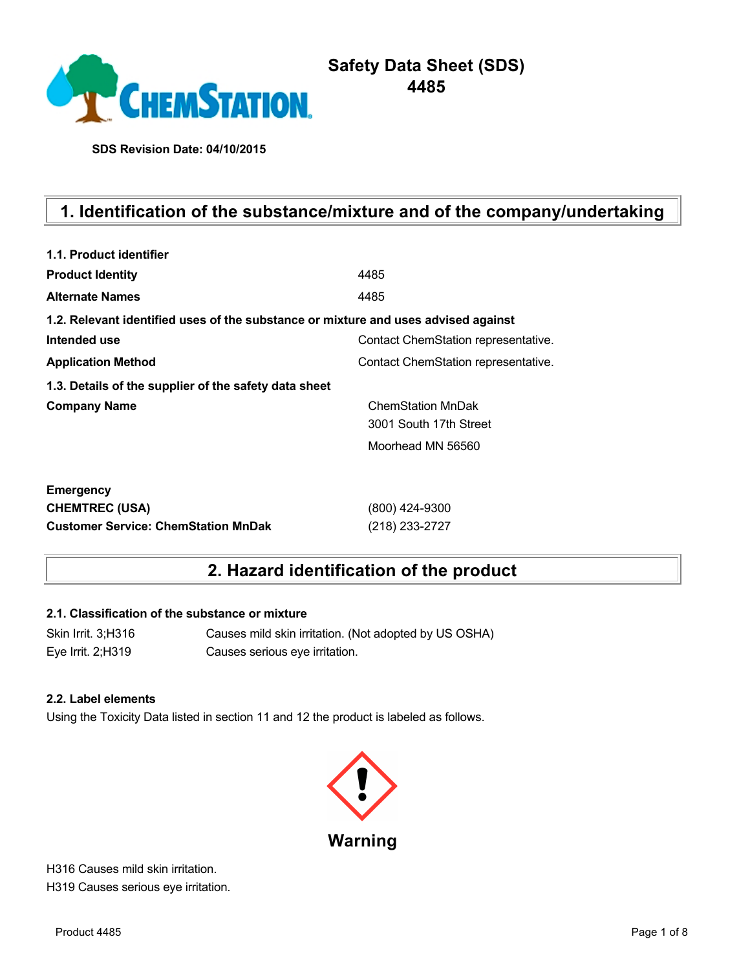

# **Safety Data Sheet (SDS) 4485**

**SDS Revision Date: 04/10/2015**

# **1. Identification of the substance/mixture and of the company/undertaking**

| 1.1. Product identifier                                                            |                                     |
|------------------------------------------------------------------------------------|-------------------------------------|
| <b>Product Identity</b>                                                            | 4485                                |
| <b>Alternate Names</b>                                                             | 4485                                |
| 1.2. Relevant identified uses of the substance or mixture and uses advised against |                                     |
| Intended use                                                                       | Contact ChemStation representative. |
| <b>Application Method</b>                                                          | Contact ChemStation representative. |
| 1.3. Details of the supplier of the safety data sheet                              |                                     |
| <b>Company Name</b>                                                                | <b>ChemStation MnDak</b>            |
|                                                                                    | 3001 South 17th Street              |
|                                                                                    | Moorhead MN 56560                   |
| <b>Emergency</b>                                                                   |                                     |
| <b>CHEMTREC (USA)</b>                                                              | (800) 424-9300                      |
| <b>Customer Service: ChemStation MnDak</b>                                         | (218) 233-2727                      |

## **2. Hazard identification of the product**

#### **2.1. Classification of the substance or mixture**

Skin Irrit. 3;H316 Causes mild skin irritation. (Not adopted by US OSHA) Eye Irrit. 2;H319 Causes serious eye irritation.

#### **2.2. Label elements**

Using the Toxicity Data listed in section 11 and 12 the product is labeled as follows.



H316 Causes mild skin irritation. H319 Causes serious eye irritation.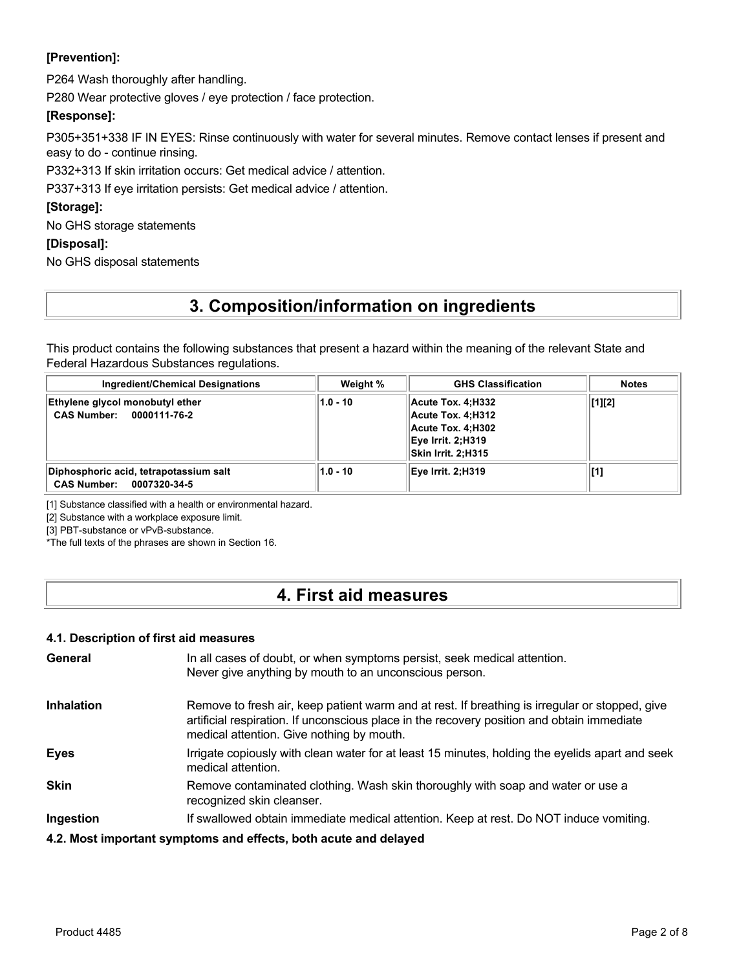#### **[Prevention]:**

P264 Wash thoroughly after handling.

P280 Wear protective gloves / eye protection / face protection.

#### **[Response]:**

P305+351+338 IF IN EYES: Rinse continuously with water for several minutes. Remove contact lenses if present and easy to do - continue rinsing.

P332+313 If skin irritation occurs: Get medical advice / attention.

P337+313 If eye irritation persists: Get medical advice / attention.

#### **[Storage]:**

No GHS storage statements

#### **[Disposal]:**

No GHS disposal statements

## **3. Composition/information on ingredients**

This product contains the following substances that present a hazard within the meaning of the relevant State and Federal Hazardous Substances regulations.

| <b>Ingredient/Chemical Designations</b>                            | Weight %   | <b>GHS Classification</b>                                                                              | Notes  |
|--------------------------------------------------------------------|------------|--------------------------------------------------------------------------------------------------------|--------|
| Ethylene glycol monobutyl ether<br>CAS Number: 0000111-76-2        | $1.0 - 10$ | Acute Tox. 4:H332<br>Acute Tox. 4:H312<br>Acute Tox. 4:H302<br>Eye Irrit. 2:H319<br>Skin Irrit. 2:H315 | [1][2] |
| Diphosphoric acid, tetrapotassium salt<br>CAS Number: 0007320-34-5 | $1.0 - 10$ | Eye Irrit. 2:H319                                                                                      | [1]    |

[1] Substance classified with a health or environmental hazard.

[2] Substance with a workplace exposure limit.

[3] PBT-substance or vPvB-substance.

\*The full texts of the phrases are shown in Section 16.

## **4. First aid measures**

#### **4.1. Description of first aid measures**

| General           | In all cases of doubt, or when symptoms persist, seek medical attention.<br>Never give anything by mouth to an unconscious person.                                                                                                        |
|-------------------|-------------------------------------------------------------------------------------------------------------------------------------------------------------------------------------------------------------------------------------------|
| <b>Inhalation</b> | Remove to fresh air, keep patient warm and at rest. If breathing is irregular or stopped, give<br>artificial respiration. If unconscious place in the recovery position and obtain immediate<br>medical attention. Give nothing by mouth. |
| <b>Eyes</b>       | Irrigate copiously with clean water for at least 15 minutes, holding the eyelids apart and seek<br>medical attention.                                                                                                                     |
| <b>Skin</b>       | Remove contaminated clothing. Wash skin thoroughly with soap and water or use a<br>recognized skin cleanser.                                                                                                                              |
| Ingestion         | If swallowed obtain immediate medical attention. Keep at rest. Do NOT induce vomiting.                                                                                                                                                    |
|                   | 4.2. Most important symptoms and effects, both acute and delayed                                                                                                                                                                          |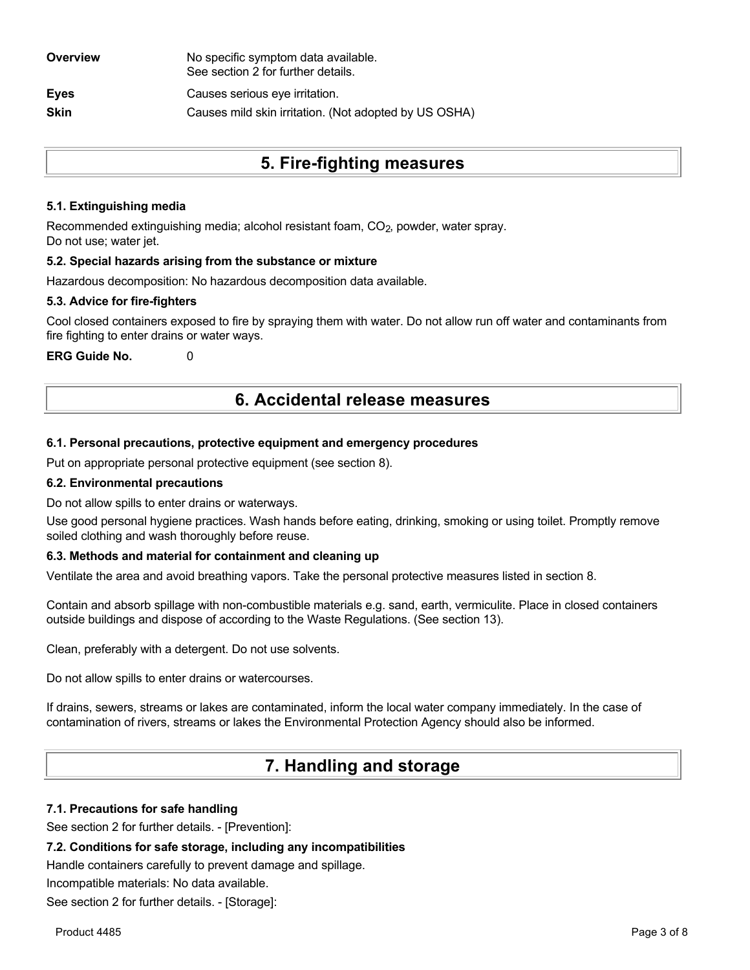| Overview    | No specific symptom data available.<br>See section 2 for further details. |
|-------------|---------------------------------------------------------------------------|
| Eyes        | Causes serious eye irritation.                                            |
| <b>Skin</b> | Causes mild skin irritation. (Not adopted by US OSHA)                     |

## **5. Fire-fighting measures**

#### **5.1. Extinguishing media**

Recommended extinguishing media; alcohol resistant foam, CO<sub>2</sub>, powder, water spray. Do not use; water jet.

#### **5.2. Special hazards arising from the substance or mixture**

Hazardous decomposition: No hazardous decomposition data available.

#### **5.3. Advice for fire-fighters**

Cool closed containers exposed to fire by spraying them with water. Do not allow run off water and contaminants from fire fighting to enter drains or water ways.

**ERG Guide No.** 0

## **6. Accidental release measures**

#### **6.1. Personal precautions, protective equipment and emergency procedures**

Put on appropriate personal protective equipment (see section 8).

#### **6.2. Environmental precautions**

Do not allow spills to enter drains or waterways.

Use good personal hygiene practices. Wash hands before eating, drinking, smoking or using toilet. Promptly remove soiled clothing and wash thoroughly before reuse.

#### **6.3. Methods and material for containment and cleaning up**

Ventilate the area and avoid breathing vapors. Take the personal protective measures listed in section 8.

Contain and absorb spillage with non-combustible materials e.g. sand, earth, vermiculite. Place in closed containers outside buildings and dispose of according to the Waste Regulations. (See section 13).

Clean, preferably with a detergent. Do not use solvents.

Do not allow spills to enter drains or watercourses.

If drains, sewers, streams or lakes are contaminated, inform the local water company immediately. In the case of contamination of rivers, streams or lakes the Environmental Protection Agency should also be informed.

## **7. Handling and storage**

#### **7.1. Precautions for safe handling**

See section 2 for further details. - [Prevention]:

#### **7.2. Conditions for safe storage, including any incompatibilities**

Handle containers carefully to prevent damage and spillage.

Incompatible materials: No data available.

See section 2 for further details. - [Storage]: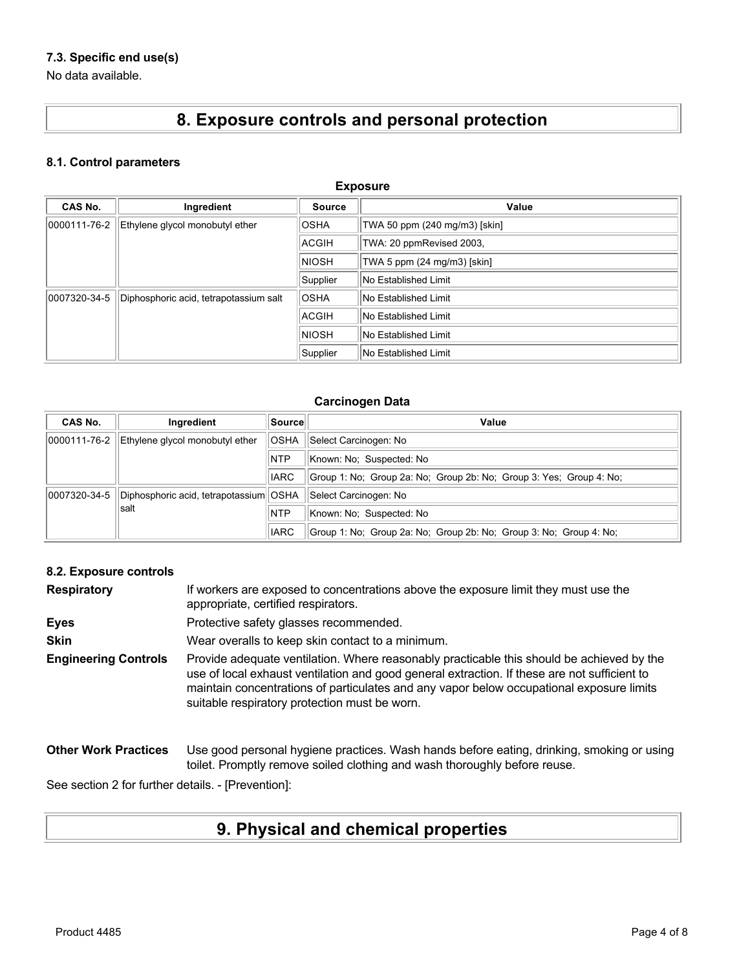### **7.3. Specific end use(s)**

No data available.

# **8. Exposure controls and personal protection**

#### **8.1. Control parameters**

| <b>Exposure</b> |                                        |              |                               |
|-----------------|----------------------------------------|--------------|-------------------------------|
| CAS No.         | Ingredient                             | Source       | Value                         |
| 0000111-76-2    | Ethylene glycol monobutyl ether        | <b>OSHA</b>  | TWA 50 ppm (240 mg/m3) [skin] |
|                 |                                        | ACGIH        | TWA: 20 ppmRevised 2003,      |
|                 |                                        | <b>NIOSH</b> | TWA 5 ppm (24 mg/m3) [skin]   |
|                 |                                        | Supplier     | No Established Limit          |
| 0007320-34-5    | Diphosphoric acid, tetrapotassium salt | <b>OSHA</b>  | No Established Limit          |
|                 |                                        | ACGIH        | No Established Limit          |
|                 |                                        | <b>NIOSH</b> | No Established Limit          |
|                 |                                        | Supplier     | No Established Limit          |

#### **Carcinogen Data**

| CAS No.      | Ingredient                               | Source      | Value                                                               |
|--------------|------------------------------------------|-------------|---------------------------------------------------------------------|
| 0000111-76-2 | Ethylene glycol monobutyl ether          | <b>OSHA</b> | Select Carcinogen: No                                               |
|              |                                          | <b>NTP</b>  | Known: No: Suspected: No                                            |
|              |                                          | <b>IARC</b> | Group 1: No: Group 2a: No: Group 2b: No: Group 3: Yes: Group 4: No: |
| 0007320-34-5 | Diphosphoric acid, tetrapotassium   OSHA |             | Select Carcinogen: No                                               |
| lsalt        |                                          | <b>NTP</b>  | Known: No: Suspected: No                                            |
|              |                                          | <b>IARC</b> | Group 1: No: Group 2a: No: Group 2b: No: Group 3: No: Group 4: No:  |

#### **8.2. Exposure controls**

| <b>Respiratory</b>          | If workers are exposed to concentrations above the exposure limit they must use the<br>appropriate, certified respirators.                                                                                                                                                                                                             |
|-----------------------------|----------------------------------------------------------------------------------------------------------------------------------------------------------------------------------------------------------------------------------------------------------------------------------------------------------------------------------------|
| <b>Eyes</b>                 | Protective safety glasses recommended.                                                                                                                                                                                                                                                                                                 |
| <b>Skin</b>                 | Wear overalls to keep skin contact to a minimum.                                                                                                                                                                                                                                                                                       |
| <b>Engineering Controls</b> | Provide adequate ventilation. Where reasonably practicable this should be achieved by the<br>use of local exhaust ventilation and good general extraction. If these are not sufficient to<br>maintain concentrations of particulates and any vapor below occupational exposure limits<br>suitable respiratory protection must be worn. |
| <b>Other Work Practices</b> | Use good personal hygiene practices. Wash hands before eating, drinking, smoking or using<br>toilet. Promptly remove soiled clothing and wash thoroughly before reuse.                                                                                                                                                                 |

See section 2 for further details. - [Prevention]:

# **9. Physical and chemical properties**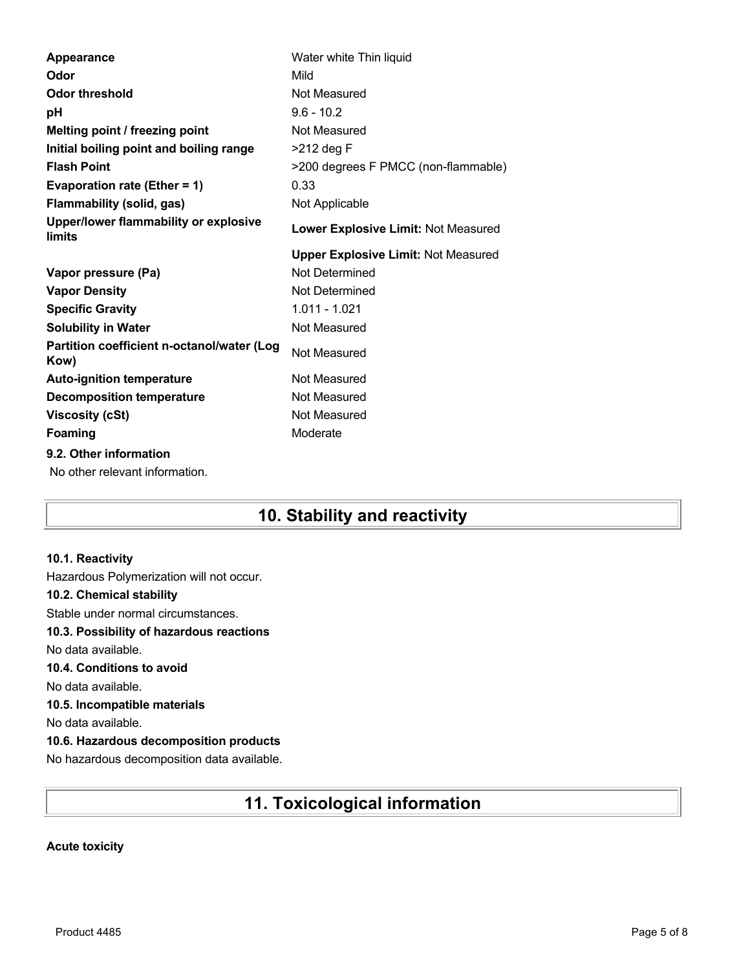| Water white Thin liquid                    |
|--------------------------------------------|
| Mild                                       |
| Not Measured                               |
| $9.6 - 10.2$                               |
| Not Measured                               |
| >212 deg F                                 |
| >200 degrees F PMCC (non-flammable)        |
| 0.33                                       |
| Not Applicable                             |
| Lower Explosive Limit: Not Measured        |
| <b>Upper Explosive Limit: Not Measured</b> |
| Not Determined                             |
| Not Determined                             |
| 1.011 - 1.021                              |
| Not Measured                               |
| Not Measured                               |
|                                            |
| Not Measured                               |
| Not Measured                               |
| Not Measured                               |
| Moderate                                   |
|                                            |
|                                            |

## **10. Stability and reactivity**

#### **10.1. Reactivity**

Hazardous Polymerization will not occur. **10.2. Chemical stability** Stable under normal circumstances. **10.3. Possibility of hazardous reactions** No data available. **10.4. Conditions to avoid** No data available. **10.5. Incompatible materials** No data available. **10.6. Hazardous decomposition products** No hazardous decomposition data available.

## **11. Toxicological information**

#### **Acute toxicity**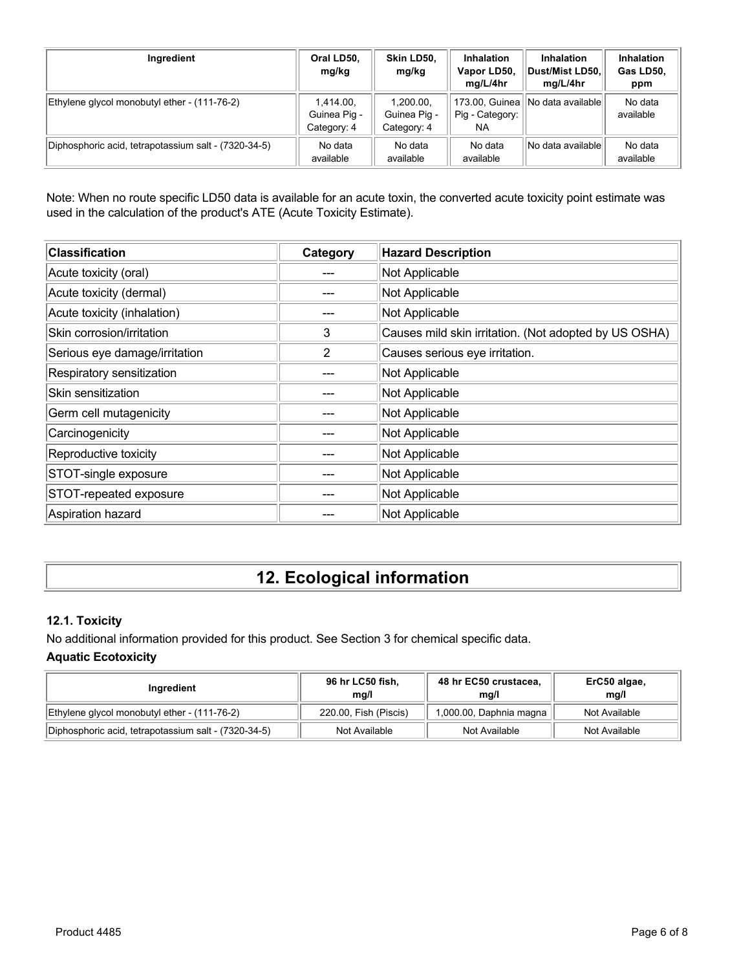| Ingredient                                           | Oral LD50,<br>mg/kg                      | Skin LD50,<br>mg/kg                      | <b>Inhalation</b><br>Vapor LD50,<br>mg/L/4hr | <b>Inhalation</b><br>Dust/Mist LD50.<br>mg/L/4hr | Inhalation<br>Gas LD50,<br>ppm |
|------------------------------------------------------|------------------------------------------|------------------------------------------|----------------------------------------------|--------------------------------------------------|--------------------------------|
| Ethylene glycol monobutyl ether - (111-76-2)         | 1,414.00,<br>Guinea Pig -<br>Category: 4 | 1.200.00.<br>Guinea Pig -<br>Category: 4 | 173.00, Guinea<br>Pig - Category:<br>NA      | INo data available                               | No data<br>available           |
| Diphosphoric acid, tetrapotassium salt - (7320-34-5) | No data<br>available                     | No data<br>available                     | No data<br>available                         | No data availablel                               | No data<br>available           |

Note: When no route specific LD50 data is available for an acute toxin, the converted acute toxicity point estimate was used in the calculation of the product's ATE (Acute Toxicity Estimate).

| <b>Classification</b>         | Category | <b>Hazard Description</b>                             |
|-------------------------------|----------|-------------------------------------------------------|
| Acute toxicity (oral)         |          | Not Applicable                                        |
| Acute toxicity (dermal)       |          | Not Applicable                                        |
| Acute toxicity (inhalation)   |          | Not Applicable                                        |
| Skin corrosion/irritation     | 3        | Causes mild skin irritation. (Not adopted by US OSHA) |
| Serious eye damage/irritation | 2        | Causes serious eye irritation.                        |
| Respiratory sensitization     |          | Not Applicable                                        |
| Skin sensitization            |          | Not Applicable                                        |
| Germ cell mutagenicity        |          | Not Applicable                                        |
| Carcinogenicity               |          | Not Applicable                                        |
| Reproductive toxicity         |          | Not Applicable                                        |
| STOT-single exposure          |          | Not Applicable                                        |
| STOT-repeated exposure        |          | Not Applicable                                        |
| Aspiration hazard             |          | Not Applicable                                        |

# **12. Ecological information**

### **12.1. Toxicity**

No additional information provided for this product. See Section 3 for chemical specific data. **Aquatic Ecotoxicity**

| Ingredient                                           | 96 hr LC50 fish,<br>mq/l | 48 hr EC50 crustacea,<br>mq/l | ErC50 algae,<br>mq/l |
|------------------------------------------------------|--------------------------|-------------------------------|----------------------|
| Ethylene glycol monobutyl ether - (111-76-2)         | 220.00, Fish (Piscis)    | 1,000.00, Daphnia magna       | Not Available        |
| Diphosphoric acid, tetrapotassium salt - (7320-34-5) | Not Available            | Not Available                 | Not Available        |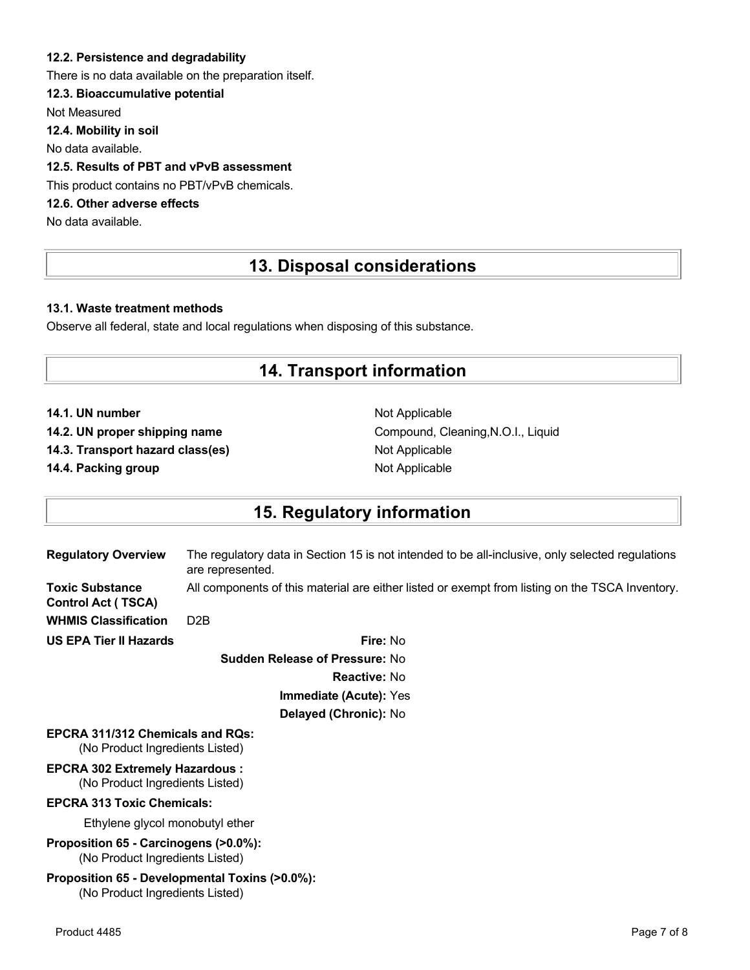#### **12.2. Persistence and degradability**

There is no data available on the preparation itself.

#### **12.3. Bioaccumulative potential**

Not Measured

**12.4. Mobility in soil**

No data available.

### **12.5. Results of PBT and vPvB assessment**

This product contains no PBT/vPvB chemicals.

### **12.6. Other adverse effects**

No data available.

## **13. Disposal considerations**

#### **13.1. Waste treatment methods**

Observe all federal, state and local regulations when disposing of this substance.

### **14. Transport information**

**14.1. UN number** Not Applicable

**14.3. Transport hazard class(es)** Not Applicable

**14.4. Packing group Not Applicable Not Applicable** 

14.2. UN proper shipping name **Compound, Cleaning, N.O.I., Liquid** Compound, Cleaning, N.O.I., Liquid

## **15. Regulatory information**

| <b>Regulatory Overview</b>                                                 | The regulatory data in Section 15 is not intended to be all-inclusive, only selected regulations<br>are represented. |
|----------------------------------------------------------------------------|----------------------------------------------------------------------------------------------------------------------|
| <b>Toxic Substance</b><br><b>Control Act (TSCA)</b>                        | All components of this material are either listed or exempt from listing on the TSCA Inventory.                      |
| <b>WHMIS Classification</b>                                                | D <sub>2</sub> B                                                                                                     |
| <b>US EPA Tier II Hazards</b>                                              | Fire: No                                                                                                             |
|                                                                            | <b>Sudden Release of Pressure: No</b>                                                                                |
|                                                                            | <b>Reactive: No</b>                                                                                                  |
|                                                                            | Immediate (Acute): Yes                                                                                               |
|                                                                            | Delayed (Chronic): No                                                                                                |
| <b>EPCRA 311/312 Chemicals and ROS:</b><br>(No Product Ingredients Listed) |                                                                                                                      |
| <b>EPCRA 302 Extremely Hazardous:</b><br>(No Product Ingredients Listed)   |                                                                                                                      |
| <b>EPCRA 313 Toxic Chemicals:</b>                                          |                                                                                                                      |
| Ethylene glycol monobutyl ether                                            |                                                                                                                      |
| Proposition 65 - Carcinogens (>0.0%):<br>(No Product Ingredients Listed)   |                                                                                                                      |
| Proposition 65 - Developmental Toxins (>0.0%):                             |                                                                                                                      |

(No Product Ingredients Listed)